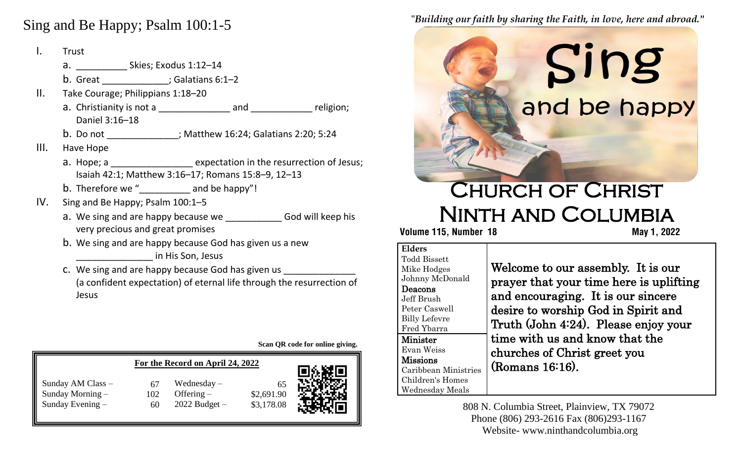## **A**  Sing and Be Happy; Psalm 100:1-5

- a. \_\_\_\_\_\_\_\_\_\_\_\_\_\_\_ Skies; Exodus 1:12–14 b. Great \_\_\_\_\_\_\_\_\_\_\_\_\_\_; Galatians 6:1–2  $\mathbf{H}_{\mathbf{r}}$ I. Trust Take Courage; Philippians 1:18–20 a. Christianity is not a \_\_\_\_\_\_\_\_\_\_\_\_\_\_ and \_\_\_\_\_\_\_\_\_\_\_\_ religion; Daniel 3:16–18 b. Do not \_\_\_\_\_\_\_\_\_\_\_\_\_\_; Matthew 16:24; Galatians 2:20; 5:24 III. Have Hope a. Hope; a \_\_\_\_\_\_\_\_\_\_\_\_\_\_\_\_\_\_\_\_ expectation in the resurrection of Jesus; Isaiah 42:1; Matthew 3:16–17; Romans 15:8–9, 12–13 b. Therefore we " $\qquad \qquad$  and be happy"! IV. Sing and Be Happy; Psalm 100:1–5 a. We sing and are happy because we **Example 20 God will keep his** very precious and great promises b. We sing and are happy because God has given us a new \_\_\_\_\_\_\_\_\_\_\_\_\_\_\_ in His Son, Jesus
	- c. We sing and are happy because God has given us (a confident expectation) of eternal life through the resurrection of Jesus

**Scan QR code for online giving.**

| For the Record on April 24, 2022                              |           |                                                    |                                | 98.凝回 |
|---------------------------------------------------------------|-----------|----------------------------------------------------|--------------------------------|-------|
| Sunday AM Class -<br>Sunday Morning $-$<br>Sunday Evening $-$ | 102<br>60 | Wednesday $-$<br>Offering $-$<br>$2022$ Budget $-$ | 65<br>\$2,691.90<br>\$3,178.08 |       |

#### "*Building our faith by sharing the Faith, in love, here and abroad."* i

# $\overline{\phantom{0}}$  Ī and be happy

# Church of Christ Ninth and Columbia

 **Volume 115, Number 18 May 1, 2022**

#### **Elders** Todd Bissett Mike Hodges Johnny McDonald Deacons Jeff Brush Peter Caswell Billy Lefevre Fred Ybarra Minister Evan Weiss Missions Caribbean Ministries Children's Homes Wednesday Meals

Welcome to our assembly. It is our prayer that your time here is uplifting and encouraging. It is our sincere desire to worship God in Spirit and Truth (John 4:24). Please enjoy your time with us and know that the churches of Christ greet you (Romans 16:16).

808 N. Columbia Street, Plainview, TX 79072 Phone (806) 293-2616 Fax (806)293-1167 Website- www.ninthandcolumbia.org